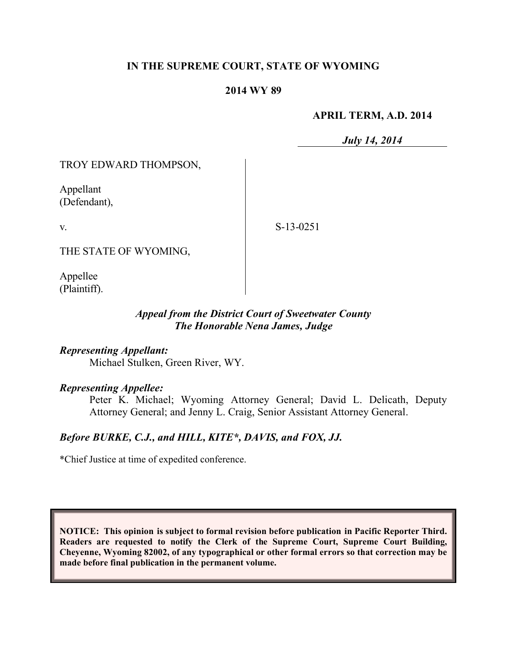## **IN THE SUPREME COURT, STATE OF WYOMING**

#### **2014 WY 89**

#### **APRIL TERM, A.D. 2014**

*July 14, 2014*

TROY EDWARD THOMPSON,

Appellant (Defendant),

v.

S-13-0251

THE STATE OF WYOMING,

Appellee (Plaintiff).

### *Appeal from the District Court of Sweetwater County The Honorable Nena James, Judge*

*Representing Appellant:* Michael Stulken, Green River, WY.

### *Representing Appellee:*

Peter K. Michael; Wyoming Attorney General; David L. Delicath, Deputy Attorney General; and Jenny L. Craig, Senior Assistant Attorney General.

# *Before BURKE, C.J., and HILL, KITE\*, DAVIS, and FOX, JJ.*

\*Chief Justice at time of expedited conference.

**NOTICE: This opinion is subject to formal revision before publication in Pacific Reporter Third. Readers are requested to notify the Clerk of the Supreme Court, Supreme Court Building, Cheyenne, Wyoming 82002, of any typographical or other formal errors so that correction may be made before final publication in the permanent volume.**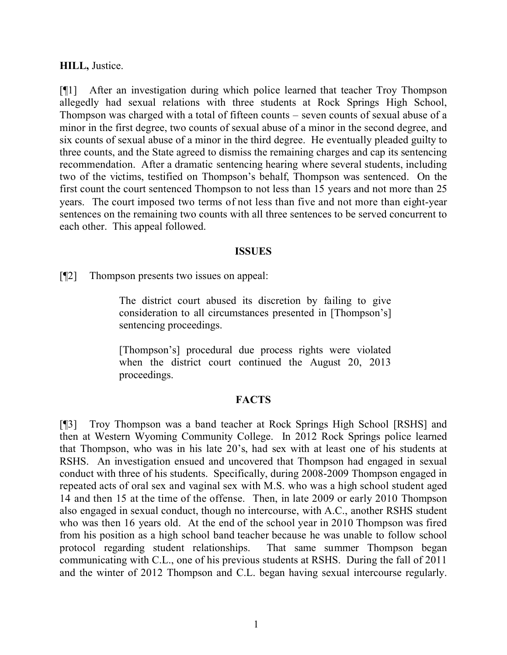#### **HILL,** Justice.

[¶1] After an investigation during which police learned that teacher Troy Thompson allegedly had sexual relations with three students at Rock Springs High School, Thompson was charged with a total of fifteen counts – seven counts of sexual abuse of a minor in the first degree, two counts of sexual abuse of a minor in the second degree, and six counts of sexual abuse of a minor in the third degree. He eventually pleaded guilty to three counts, and the State agreed to dismiss the remaining charges and cap its sentencing recommendation. After a dramatic sentencing hearing where several students, including two of the victims, testified on Thompson's behalf, Thompson was sentenced. On the first count the court sentenced Thompson to not less than 15 years and not more than 25 years. The court imposed two terms of not less than five and not more than eight-year sentences on the remaining two counts with all three sentences to be served concurrent to each other. This appeal followed.

#### **ISSUES**

[¶2] Thompson presents two issues on appeal:

The district court abused its discretion by failing to give consideration to all circumstances presented in [Thompson's] sentencing proceedings.

[Thompson's] procedural due process rights were violated when the district court continued the August 20, 2013 proceedings.

#### **FACTS**

[¶3] Troy Thompson was a band teacher at Rock Springs High School [RSHS] and then at Western Wyoming Community College. In 2012 Rock Springs police learned that Thompson, who was in his late 20's, had sex with at least one of his students at RSHS. An investigation ensued and uncovered that Thompson had engaged in sexual conduct with three of his students. Specifically, during 2008-2009 Thompson engaged in repeated acts of oral sex and vaginal sex with M.S. who was a high school student aged 14 and then 15 at the time of the offense. Then, in late 2009 or early 2010 Thompson also engaged in sexual conduct, though no intercourse, with A.C., another RSHS student who was then 16 years old. At the end of the school year in 2010 Thompson was fired from his position as a high school band teacher because he was unable to follow school protocol regarding student relationships. That same summer Thompson began communicating with C.L., one of his previous students at RSHS. During the fall of 2011 and the winter of 2012 Thompson and C.L. began having sexual intercourse regularly.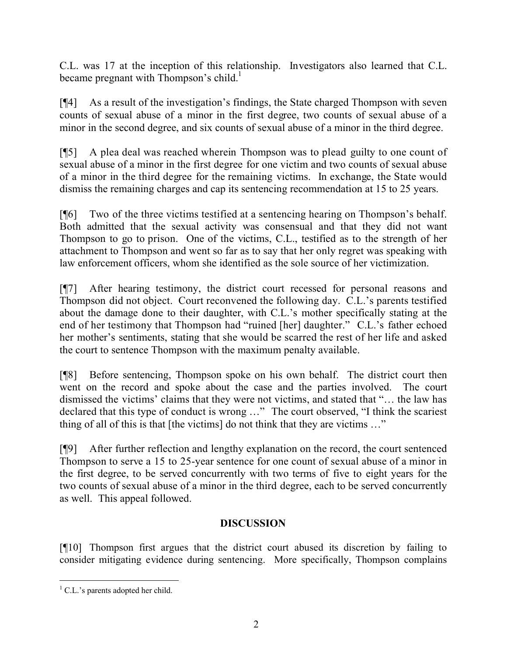C.L. was 17 at the inception of this relationship. Investigators also learned that C.L. became pregnant with Thompson's child.<sup>1</sup>

[¶4] As a result of the investigation's findings, the State charged Thompson with seven counts of sexual abuse of a minor in the first degree, two counts of sexual abuse of a minor in the second degree, and six counts of sexual abuse of a minor in the third degree.

[¶5] A plea deal was reached wherein Thompson was to plead guilty to one count of sexual abuse of a minor in the first degree for one victim and two counts of sexual abuse of a minor in the third degree for the remaining victims. In exchange, the State would dismiss the remaining charges and cap its sentencing recommendation at 15 to 25 years.

[¶6] Two of the three victims testified at a sentencing hearing on Thompson's behalf. Both admitted that the sexual activity was consensual and that they did not want Thompson to go to prison. One of the victims, C.L., testified as to the strength of her attachment to Thompson and went so far as to say that her only regret was speaking with law enforcement officers, whom she identified as the sole source of her victimization.

[¶7] After hearing testimony, the district court recessed for personal reasons and Thompson did not object. Court reconvened the following day. C.L.'s parents testified about the damage done to their daughter, with C.L.'s mother specifically stating at the end of her testimony that Thompson had "ruined [her] daughter." C.L.'s father echoed her mother's sentiments, stating that she would be scarred the rest of her life and asked the court to sentence Thompson with the maximum penalty available.

[¶8] Before sentencing, Thompson spoke on his own behalf. The district court then went on the record and spoke about the case and the parties involved. The court dismissed the victims' claims that they were not victims, and stated that "… the law has declared that this type of conduct is wrong …" The court observed, "I think the scariest thing of all of this is that [the victims] do not think that they are victims …"

[¶9] After further reflection and lengthy explanation on the record, the court sentenced Thompson to serve a 15 to 25-year sentence for one count of sexual abuse of a minor in the first degree, to be served concurrently with two terms of five to eight years for the two counts of sexual abuse of a minor in the third degree, each to be served concurrently as well. This appeal followed.

## **DISCUSSION**

[¶10] Thompson first argues that the district court abused its discretion by failing to consider mitigating evidence during sentencing. More specifically, Thompson complains

  $<sup>1</sup>$  C.L.'s parents adopted her child.</sup>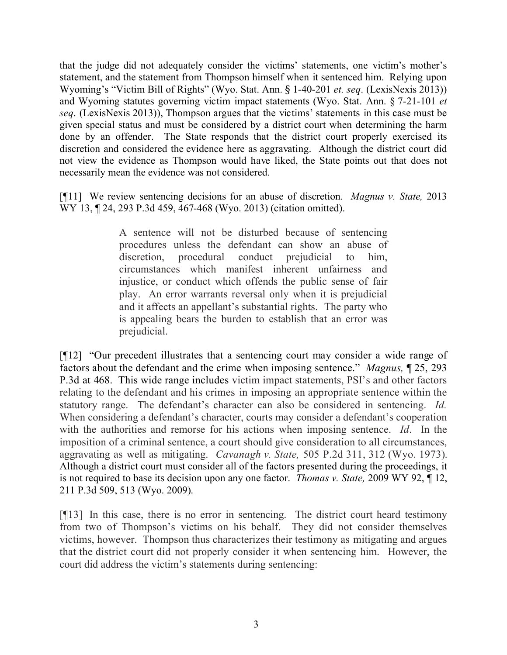that the judge did not adequately consider the victims' statements, one victim's mother's statement, and the statement from Thompson himself when it sentenced him. Relying upon Wyoming's "Victim Bill of Rights" (Wyo. Stat. Ann. § 1-40-201 *et. seq*. (LexisNexis 2013)) and Wyoming statutes governing victim impact statements (Wyo. Stat. Ann. § 7-21-101 *et seq*. (LexisNexis 2013)), Thompson argues that the victims' statements in this case must be given special status and must be considered by a district court when determining the harm done by an offender. The State responds that the district court properly exercised its discretion and considered the evidence here as aggravating. Although the district court did not view the evidence as Thompson would have liked, the State points out that does not necessarily mean the evidence was not considered.

[¶11] We review sentencing decisions for an abuse of discretion. *Magnus v. State,* 2013 WY 13, ¶ 24, 293 P.3d 459, 467-468 (Wyo. 2013) (citation omitted).

> A sentence will not be disturbed because of sentencing procedures unless the defendant can show an abuse of discretion, procedural conduct prejudicial to him, circumstances which manifest inherent unfairness and injustice, or conduct which offends the public sense of fair play. An error warrants reversal only when it is prejudicial and it affects an appellant's substantial rights. The party who is appealing bears the burden to establish that an error was prejudicial.

[¶12] "Our precedent illustrates that a sentencing court may consider a wide range of factors about the defendant and the crime when imposing sentence." *Magnus,* ¶ 25, 293 P.3d at 468. This wide range includes victim impact statements, PSI's and other factors relating to the defendant and his crimes in imposing an appropriate sentence within the statutory range. The defendant's character can also be considered in sentencing. *Id.*  When considering a defendant's character, courts may consider a defendant's cooperation with the authorities and remorse for his actions when imposing sentence. *Id*. In the imposition of a criminal sentence, a court should give consideration to all circumstances, aggravating as well as mitigating. *Cavanagh v. State,* 505 P.2d 311, 312 (Wyo. 1973). Although a district court must consider all of the factors presented during the proceedings, it is not required to base its decision upon any one factor. *Thomas v. State,* 2009 WY 92, ¶ 12, 211 P.3d 509, 513 (Wyo. 2009).

[¶13] In this case, there is no error in sentencing. The district court heard testimony from two of Thompson's victims on his behalf. They did not consider themselves victims, however. Thompson thus characterizes their testimony as mitigating and argues that the district court did not properly consider it when sentencing him. However, the court did address the victim's statements during sentencing: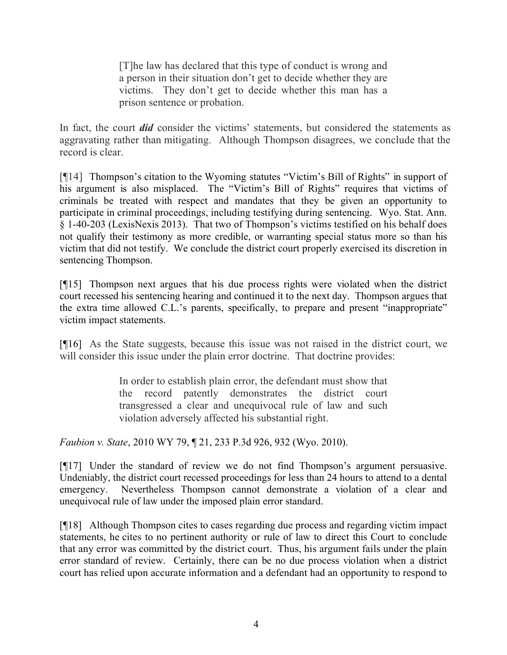[T]he law has declared that this type of conduct is wrong and a person in their situation don't get to decide whether they are victims. They don't get to decide whether this man has a prison sentence or probation.

In fact, the court *did* consider the victims' statements, but considered the statements as aggravating rather than mitigating. Although Thompson disagrees, we conclude that the record is clear.

[¶14] Thompson's citation to the Wyoming statutes "Victim's Bill of Rights" in support of his argument is also misplaced. The "Victim's Bill of Rights" requires that victims of criminals be treated with respect and mandates that they be given an opportunity to participate in criminal proceedings, including testifying during sentencing. Wyo. Stat. Ann. § 1-40-203 (LexisNexis 2013). That two of Thompson's victims testified on his behalf does not qualify their testimony as more credible, or warranting special status more so than his victim that did not testify. We conclude the district court properly exercised its discretion in sentencing Thompson.

[¶15] Thompson next argues that his due process rights were violated when the district court recessed his sentencing hearing and continued it to the next day. Thompson argues that the extra time allowed C.L.'s parents, specifically, to prepare and present "inappropriate" victim impact statements.

[¶16] As the State suggests, because this issue was not raised in the district court, we will consider this issue under the plain error doctrine. That doctrine provides:

> In order to establish plain error, the defendant must show that the record patently demonstrates the district court transgressed a clear and unequivocal rule of law and such violation adversely affected his substantial right.

*Faubion v. State*, 2010 WY 79, ¶ 21, 233 P.3d 926, 932 (Wyo. 2010).

[¶17] Under the standard of review we do not find Thompson's argument persuasive. Undeniably, the district court recessed proceedings for less than 24 hours to attend to a dental emergency. Nevertheless Thompson cannot demonstrate a violation of a clear and unequivocal rule of law under the imposed plain error standard.

[¶18] Although Thompson cites to cases regarding due process and regarding victim impact statements, he cites to no pertinent authority or rule of law to direct this Court to conclude that any error was committed by the district court. Thus, his argument fails under the plain error standard of review. Certainly, there can be no due process violation when a district court has relied upon accurate information and a defendant had an opportunity to respond to